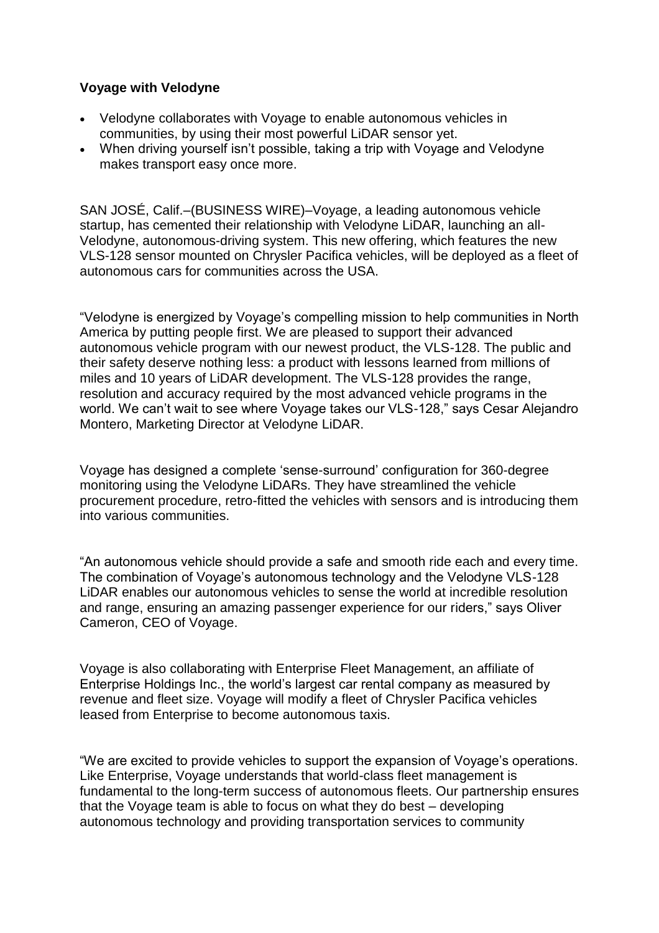### **Voyage with Velodyne**

- Velodyne collaborates with Voyage to enable autonomous vehicles in communities, by using their most powerful LiDAR sensor yet.
- When driving yourself isn't possible, taking a trip with Voyage and Velodyne makes transport easy once more.

SAN JOSÉ, Calif.–(BUSINESS WIRE)–Voyage, a leading autonomous vehicle startup, has cemented their relationship with Velodyne LiDAR, launching an all-Velodyne, autonomous-driving system. This new offering, which features the new VLS-128 sensor mounted on Chrysler Pacifica vehicles, will be deployed as a fleet of autonomous cars for communities across the USA.

"Velodyne is energized by Voyage's compelling mission to help communities in North America by putting people first. We are pleased to support their advanced autonomous vehicle program with our newest product, the VLS-128. The public and their safety deserve nothing less: a product with lessons learned from millions of miles and 10 years of LiDAR development. The VLS-128 provides the range, resolution and accuracy required by the most advanced vehicle programs in the world. We can't wait to see where Voyage takes our VLS-128," says Cesar Alejandro Montero, Marketing Director at Velodyne LiDAR.

Voyage has designed a complete 'sense-surround' configuration for 360-degree monitoring using the Velodyne LiDARs. They have streamlined the vehicle procurement procedure, retro-fitted the vehicles with sensors and is introducing them into various communities.

"An autonomous vehicle should provide a safe and smooth ride each and every time. The combination of Voyage's autonomous technology and the Velodyne VLS-128 LiDAR enables our autonomous vehicles to sense the world at incredible resolution and range, ensuring an amazing passenger experience for our riders," says Oliver Cameron, CEO of Voyage.

Voyage is also collaborating with Enterprise Fleet Management, an affiliate of Enterprise Holdings Inc., the world's largest car rental company as measured by revenue and fleet size. Voyage will modify a fleet of Chrysler Pacifica vehicles leased from Enterprise to become autonomous taxis.

"We are excited to provide vehicles to support the expansion of Voyage's operations. Like Enterprise, Voyage understands that world-class fleet management is fundamental to the long-term success of autonomous fleets. Our partnership ensures that the Voyage team is able to focus on what they do best – developing autonomous technology and providing transportation services to community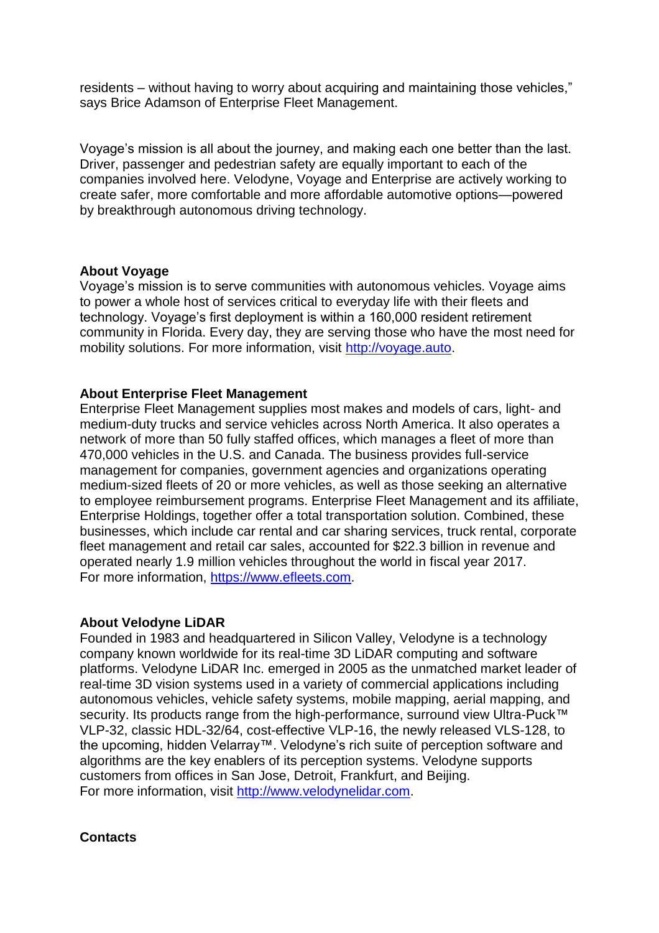residents – without having to worry about acquiring and maintaining those vehicles," says Brice Adamson of Enterprise Fleet Management.

Voyage's mission is all about the journey, and making each one better than the last. Driver, passenger and pedestrian safety are equally important to each of the companies involved here. Velodyne, Voyage and Enterprise are actively working to create safer, more comfortable and more affordable automotive options—powered by breakthrough autonomous driving technology.

#### **About Voyage**

Voyage's mission is to serve communities with autonomous vehicles. Voyage aims to power a whole host of services critical to everyday life with their fleets and technology. Voyage's first deployment is within a 160,000 resident retirement community in Florida. Every day, they are serving those who have the most need for mobility solutions. For more information, visit [http://voyage.auto.](http://voyage.auto/)

### **About Enterprise Fleet Management**

Enterprise Fleet Management supplies most makes and models of cars, light- and medium-duty trucks and service vehicles across North America. It also operates a network of more than 50 fully staffed offices, which manages a fleet of more than 470,000 vehicles in the U.S. and Canada. The business provides full-service management for companies, government agencies and organizations operating medium-sized fleets of 20 or more vehicles, as well as those seeking an alternative to employee reimbursement programs. Enterprise Fleet Management and its affiliate, Enterprise Holdings, together offer a total transportation solution. Combined, these businesses, which include car rental and car sharing services, truck rental, corporate fleet management and retail car sales, accounted for \$22.3 billion in revenue and operated nearly 1.9 million vehicles throughout the world in fiscal year 2017. For more information, [https://www.efleets.com.](https://www.efleets.com/)

# **About Velodyne LiDAR**

Founded in 1983 and headquartered in Silicon Valley, Velodyne is a technology company known worldwide for its real-time 3D LiDAR computing and software platforms. Velodyne LiDAR Inc. emerged in 2005 as the unmatched market leader of real-time 3D vision systems used in a variety of commercial applications including autonomous vehicles, vehicle safety systems, mobile mapping, aerial mapping, and security. Its products range from the high-performance, surround view Ultra-Puck™ VLP-32, classic HDL-32/64, cost-effective VLP-16, the newly released VLS-128, to the upcoming, hidden Velarray™. Velodyne's rich suite of perception software and algorithms are the key enablers of its perception systems. Velodyne supports customers from offices in San Jose, Detroit, Frankfurt, and Beijing. For more information, visit [http://www.velodynelidar.com.](http://www.velodynelidar.com/)

# **Contacts**